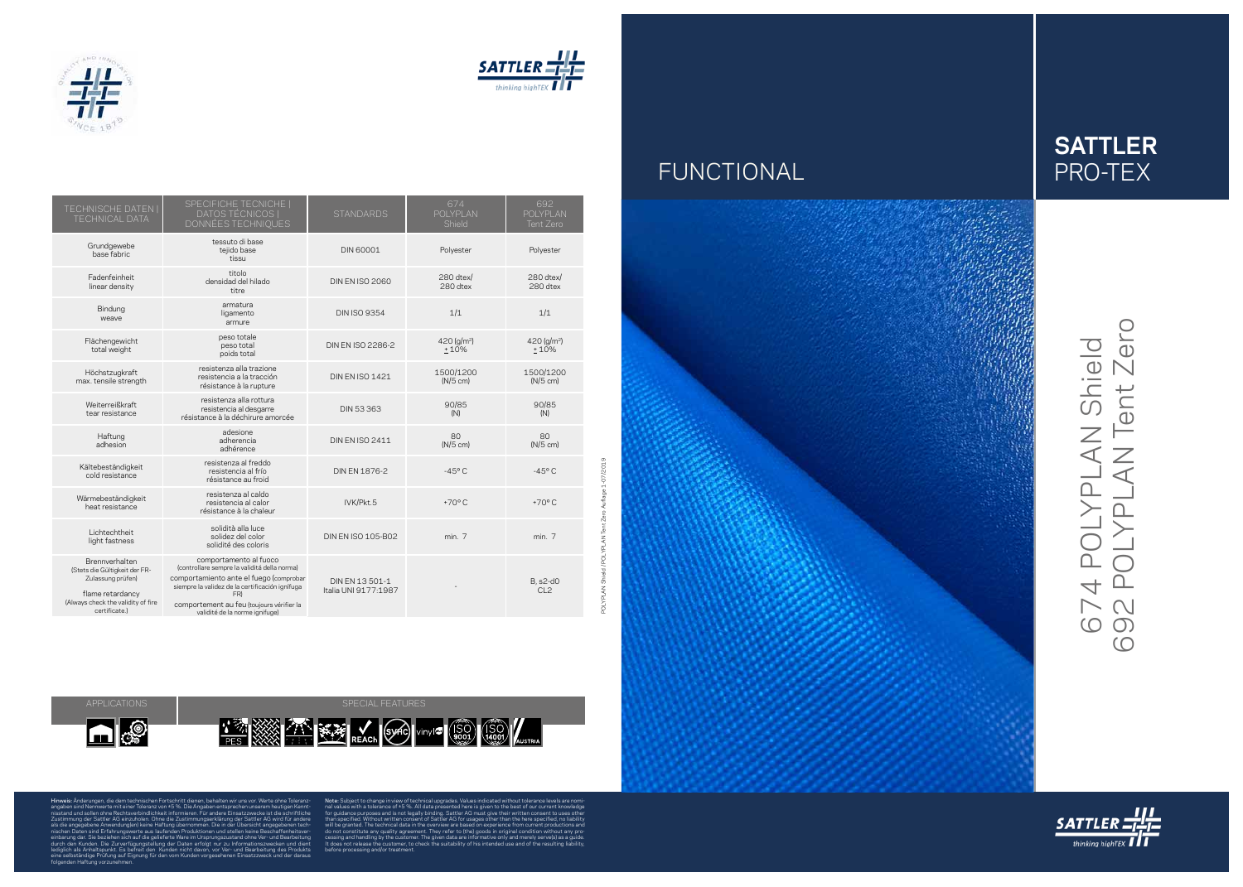



### FUNCTIONAL

POLYPLAN Shield / POLYPLAN Tent Zero Auflage 1-07/2019

n<sub>o</sub>

APPLICATIONS APPLICATIONS ARE RESERVED FOR A SPECIAL FEATURES



**1' AND REACH SURPLU (SO)** VIDY C (SO) (150)

Hinweis: Änderungen, die dem technischen Fortschritt dienen, behalten wir uns vor. Werte ohne Toleranz angaben sind Nennwerte mit einer Toleranz von ±5 %. Die Angaben entsprechen unserem heutigen Kennt nisstand und sollen ohne Rechtsverbindlichkeit informieren. Für andere Einsatzzwecke ist die schriftliche Zustimmung der Sattler AG einzuholen. Ohne die Zustimmungserklärung der Sattler AG wird für andere

als die angegebene Anwendung(en) keine Haftung übernommen. Die in der Übersicht angegebenen tech nischen Daten sind Erfahrungswerte aus laufenden Produktionen und stellen keine Beschaffenheitsver einbarung dar. Sie beziehen sich auf die gelieferte Ware im Ursprungszustand ohne Ver- und Bearbeitung durch den Kunden. Die Zurverfügungstellung der Daten erfolgt nur zu Informationszwecken und dient

lediglich als Anhaltspunkt. Es befreit den Kunden nicht davon, vor Ver- und Bearbeitung des Produkts

do not constitute any quality agreement. They refer to (the) goods in before processing and/or treatment.

# 674 POLYPLAN Shield<br>692 POLYPLAN Tent Zero 692 POLYPLAN Tent Zero 674 POLYPLAN Shield





eine selbständige Prüfung auf Eignung für den vom Kunden vorgesehenen Einsatzzweck und der daraus folgenden Haftung vorzunehmen.

Note: Subject to change in view of technical upgrades. Values indicated without tolerance levels are nomi

nal values with a tolerance of ±5 %. All data presented here is given to the best of our current knowledge for guidance purposes and is not legally binding. Sattler AG must give their written consent to uses other than specified. Without written consent of Sattler AG for usages other than the here specified, no liability will be granted. The technical data in the overview are based on experience from current productions and cessing and handling by the customer. The given data are informative only and merely serve(s) as a guide. It does not release the customer, to check the suitability of his intended use and of the resulting liability,



| <b>TECHNISCHE DATEN  </b><br><b>TECHNICAL DATA</b>                                                                                              | SPECIFICHE TECNICHE  <br>DATOS TÉCNICOS  <br>DONNÉES TECHNIQUES                                                                                                                                                                                            | <b>STANDARDS</b>                        | 674<br>POLYPLAN<br>Shield       | 692<br>POLYPLAN<br>Tent Zero        |
|-------------------------------------------------------------------------------------------------------------------------------------------------|------------------------------------------------------------------------------------------------------------------------------------------------------------------------------------------------------------------------------------------------------------|-----------------------------------------|---------------------------------|-------------------------------------|
| Grundgewebe<br>base fabric                                                                                                                      | tessuto di base<br>tejido base<br>tissu                                                                                                                                                                                                                    | <b>DIN 60001</b>                        | Polyester                       | Polyester                           |
| Fadenfeinheit<br>linear density                                                                                                                 | titolo<br>densidad del hilado<br>titre                                                                                                                                                                                                                     | <b>DIN EN ISO 2060</b>                  | 280 dtex/<br>280 dtex           | 280 dtex/<br>280 dtex               |
| Bindung<br>weave                                                                                                                                | armatura<br>ligamento<br>armure                                                                                                                                                                                                                            | <b>DIN ISO 9354</b>                     | 1/1                             | 1/1                                 |
| Flächengewicht<br>total weight                                                                                                                  | peso totale<br>peso total<br>poids total                                                                                                                                                                                                                   | DIN EN ISO 2286-2                       | 420 (g/m <sup>2</sup> )<br>±10% | 420 (g/m <sup>2</sup> )<br>$+10%$   |
| Höchstzugkraft<br>max. tensile strength                                                                                                         | resistenza alla trazione<br>resistencia a la tracción<br>résistance à la rupture                                                                                                                                                                           | <b>DIN EN ISO 1421</b>                  | 1500/1200<br>$(N/5$ cm)         | 1500/1200<br>$(N/5$ cm)             |
| Weiterreißkraft<br>tear resistance                                                                                                              | resistenza alla rottura<br>resistencia al desgarre<br>résistance à la déchirure amorcée                                                                                                                                                                    | <b>DIN 53 363</b>                       | 90/85<br>(N)                    | 90/85<br>(N)                        |
| Haftung<br>adhesion                                                                                                                             | adesione<br>adherencia<br>adhérence                                                                                                                                                                                                                        | <b>DIN EN ISO 2411</b>                  | 80<br>$(N/5$ cm)                | 80<br>$(N/5$ cm)                    |
| Kältebeständigkeit<br>cold resistance                                                                                                           | resistenza al freddo<br>resistencia al frío<br>résistance au froid                                                                                                                                                                                         | DIN EN 1876-2                           | $-45^{\circ}$ C                 | $-45^{\circ}$ C                     |
| Wärmebeständigkeit<br>heat resistance                                                                                                           | resistenza al caldo<br>resistencia al calor<br>résistance à la chaleur                                                                                                                                                                                     | IVK/Pkt.5                               | $+70^{\circ}$ C                 | $+70^{\circ}$ C                     |
| Lichtechtheit<br>light fastness                                                                                                                 | solidità alla luce<br>solidez del color<br>solidité des coloris                                                                                                                                                                                            | <b>DIN EN ISO 105-B02</b>               | min. 7                          | min. 7                              |
| Brennverhalten<br>(Stets die Gültigkeit der FR-<br>Zulassung prüfen)<br>flame retardancy<br>(Always check the validity of fire<br>certificate.) | comportamento al fuoco<br>(controllare sempre la validitá della norma)<br>comportamiento ante el fuego (comprobar<br>siempre la validez de la certificación ignífuga<br>FR)<br>comportement au feu (toujours vérifier la<br>validité de la norme ignifuge) | DIN EN 13 501-1<br>Italia UNI 9177:1987 |                                 | <b>B</b> , s2-d0<br>CL <sub>2</sub> |